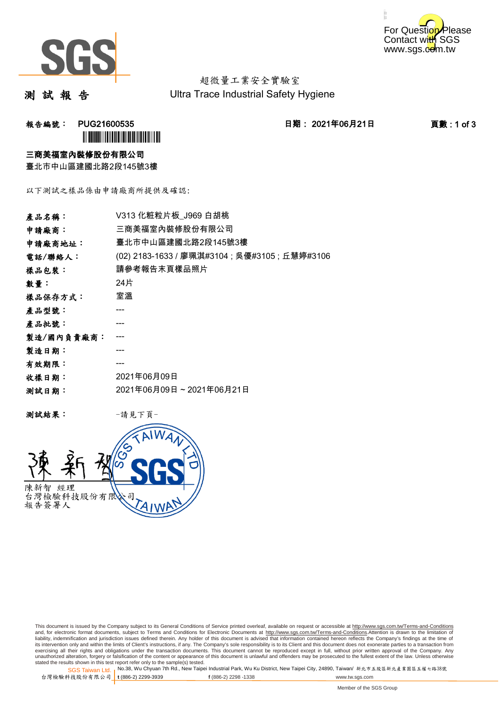



超微量工業安全實驗室 Ultra Trace Industrial Safety Hygiene

測 試 報 告

报告編號: PUG21600535 2021年06月21日 日期: 2021年06月21日 2021年06月21日 百數 : 1 of 3 **`** 

### 三商美福室內裝修股份有限公司

臺北市中山區建國北路2段145號3樓

以下測試之樣品係由申請廠商所提供及確認:

| 產品名稱:      | V313 化粧粒片板_J969 白胡桃                            |  |  |
|------------|------------------------------------------------|--|--|
| 申請廠商:      | 三商美福室內裝修股份有限公司                                 |  |  |
| 申請廠商地址:    | 臺北市中山區建國北路2段145號3樓                             |  |  |
| 電話/聯絡人:    | (02) 2183-1633 / 廖珮淇#3104 ; 吳優#3105 ; 丘慧婷#3106 |  |  |
| 樣品包裝:      | 請參考報告末頁樣品照片                                    |  |  |
| 數量:        | 24片                                            |  |  |
| 樣品保存方式:    | 室溫                                             |  |  |
| 產品型號:      |                                                |  |  |
| 產品批號:      |                                                |  |  |
| 製造/國內負責廠商: |                                                |  |  |
| 製造日期:      |                                                |  |  |
| 有效期限:      |                                                |  |  |
| 收樣日期:      | 2021年06月09日                                    |  |  |
| 测試日期:      | 2021年06月09日~2021年06月21日                        |  |  |
|            |                                                |  |  |

测試結果: 一請見下頁



This document is issued by the Company subject to its General Conditions of Service printed overleaf, available on request or accessible at http://www.sgs.com.tw/Terms-and-Conditions and, for electronic format documents, subject to Terms and Conditions for Electronic Documents at <u>http://www.sgs.com.tw/Terms-and-Conditions</u>.Attention is drawn to the limitation of<br>liability, indemnification and jurisdic exercising all their rights and obligations under the transaction documents. This document cannot be reproduced except in full, without prior written approval of the Company. Any<br>unauthorized alteration, forgery or falsifi

SGS Taiwan Ltd. 1 stated the results shown in this test report refer only to the sample(s) tested.<br>Stated the results shown in this test report refer only to the sample(s) tested.

台灣檢驗科技股份有限公司

**t** (886-2) 2299-3939 **f** (886-2) 2298 -1338 www.tw.sgs.com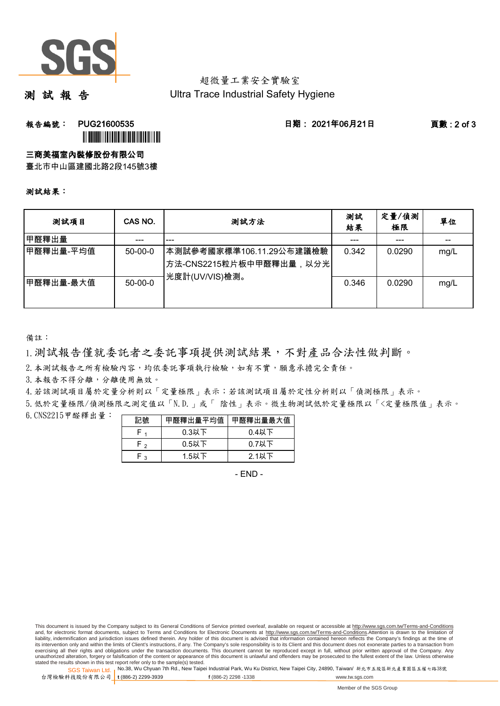

## 超微量工業安全實驗室 Ultra Trace Industrial Safety Hygiene

測 試 報 告

報告編號: PUG21600535 日期: 2021年06月21日 頁數 : 2 of 3

ÌPUG21600532GÎ

## 三商美福室內裝修股份有限公司

臺北市中山區建國北路2段145號3樓

#### 測試結果:

| 测試項目      | CAS NO.   | 测試方法                                                                     | 測試<br>結果 | 定量/偵測<br>極限 | 單位    |
|-----------|-----------|--------------------------------------------------------------------------|----------|-------------|-------|
| 甲醛釋出量     |           | ---                                                                      |          | ---         | $- -$ |
| 甲醛釋出量-平均值 | $50-00-0$ | ┃本測試參考國家標準106.11.29公布建議檢驗<br>【方法-CNS2215粒片板中甲醛釋出量,以分光┃<br>光度計(UV/VIS)檢測。 | 0.342    | 0.0290      | mg/L  |
| 甲醛釋出量-最大值 | $50-00-0$ |                                                                          | 0.346    | 0.0290      | mg/L  |

備註:

1.測試報告僅就委託者之委託事項提供測試結果,不對產品合法性做判斷。

2. 本測試報告之所有檢驗內容,均依委託事項執行檢驗,如有不實,願意承擔完全責任。

3. 本報告不得分離,分離使用無效。

4.若該測試項目屬於定量分析則以「定量極限」表示;若該測試項目屬於定性分析則以「偵測極限」表示。

5.低於定量極限/偵測極限之測定值以「N.D.」或「 陰性」表示。微生物測試低於定量極限以「<定量極限值」表示。

6.CNS2215甲醛釋出量: 

| 記號  | 甲醛釋出量平均值 | 甲醛釋出量最大值 |
|-----|----------|----------|
| ۲.  | $0.3$ 以下 | $0.4$ 以下 |
| F,  | $0.5$ 以下 | $0.7$ 以下 |
| ໍ່າ | 1.5以下    | $2.1$ 以下 |

- END -

This document is issued by the Company subject to its General Conditions of Service printed overleaf, available on request or accessible at http://www.sgs.com.tw/Terms-and-Conditions and, for electronic format documents, subject to Terms and Conditions for Electronic Documents at http://www.sgs.com.tw/Terms-and-Conditions.Attention is drawn to the limitation of liability, indemnification and jurisdiction issues defined therein. Any holder of this document is advised that information contained hereon reflects the Company's findings at the time of<br>its intervention only and within t exercising all their rights and obligations under the transaction documents. This document cannot be reproduced except in full, without prior written approval of the Company. Any<br>unauthorized alteration, forgery or falsifi

SGS Taiwan Ltd. 1 stated the results shown in this test report refer only to the sample(s) tested.<br>Stated the results shown in this test report refer only to the sample(s) tested.

台灣檢驗科技股份有限公司

**t** (886-2) 2299-3939 **f** (886-2) 2298 -1338 www.tw.sgs.com